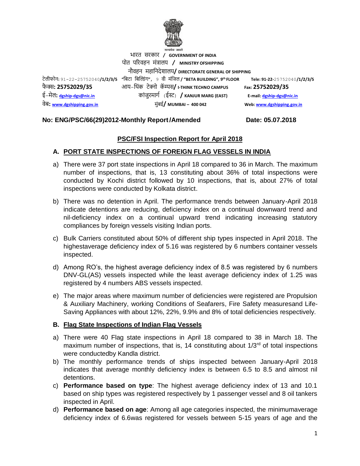

भारत सरकार **/ GOVERNMENT OF INDIA** पोत पररवहन मंत्रालय **/ MINISTRY OFSHIPPING** नौवहन महाननदेशालय**/ DIRECTORATE GENERAL OF SHIPPING** टेलीफोन**:** 91-22-25752040**/1/2/3/5 "**निटा निल्डंग**"**, 9 वी मंनिल **/ "BETA BUILDING", 9** फै क्स**: 25752029/35** आय-न ंक टेक्नो कॅ म्पस**/ I-THINK TECHNO CAMPUS Fax: 25752029/35** ई-मेल**: [dgship-dgs@nic.in](mailto:dgship-dgs@nic.in)** कांिुरमागग (ईस्ट) **/ KANJUR MARG (EAST) E-mail[: dgship-dgs@nic.in](mailto:dgship-dgs@nic.in)** वेि**: [www.dgshipping.gov.in](http://www.dgshipping.gov.in/)** मुंिई**/ MUMBAI – 400 042 Web[: www.dgshipping.gov.in](http://www.dgshipping.gov.in/)**

**th FLOOR Tele: 91-22-**25752040**/1/2/3/5** 

### **No: ENG/PSC/66(29)2012-Monthly Report/Amended Date: 05.07.2018**

## **PSC/FSI Inspection Report for April 2018**

### **A. PORT STATE INSPECTIONS OF FOREIGN FLAG VESSELS IN INDIA**

- a) There were 37 port state inspections in April 18 compared to 36 in March. The maximum number of inspections, that is, 13 constituting about 36% of total inspections were conducted by Kochi district followed by 10 inspections, that is, about 27% of total inspections were conducted by Kolkata district.
- b) There was no detention in April. The performance trends between January-April 2018 indicate detentions are reducing, deficiency index on a continual downward trend and nil-deficiency index on a continual upward trend indicating increasing statutory compliances by foreign vessels visiting Indian ports.
- c) Bulk Carriers constituted about 50% of different ship types inspected in April 2018. The highestaverage deficiency index of 5.16 was registered by 6 numbers container vessels inspected.
- d) Among RO's, the highest average deficiency index of 8.5 was registered by 6 numbers DNV-GL(AS) vessels inspected while the least average deficiency index of 1.25 was registered by 4 numbers ABS vessels inspected.
- e) The major areas where maximum number of deficiencies were registered are Propulsion & Auxiliary Machinery, working Conditions of Seafarers, Fire Safety measuresand Life-Saving Appliances with about 12%, 22%, 9.9% and 8% of total deficiencies respectively.

### **B. Flag State Inspections of Indian Flag Vessels**

- a) There were 40 Flag state inspections in April 18 compared to 38 in March 18. The maximum number of inspections, that is, 14 constituting about  $1/3<sup>rd</sup>$  of total inspections were conductedby Kandla district.
- b) The monthly performance trends of ships inspected between January-April 2018 indicates that average monthly deficiency index is between 6.5 to 8.5 and almost nil detentions.
- c) **Performance based on type**: The highest average deficiency index of 13 and 10.1 based on ship types was registered respectively by 1 passenger vessel and 8 oil tankers inspected in April.
- d) **Performance based on age**: Among all age categories inspected, the minimumaverage deficiency index of 6.6was registered for vessels between 5-15 years of age and the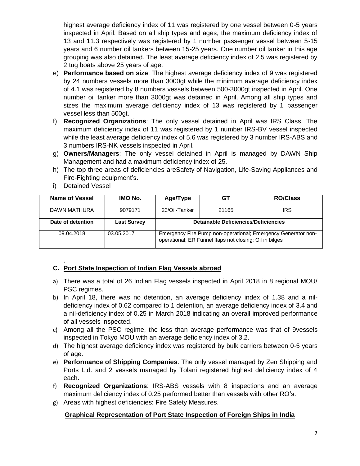highest average deficiency index of 11 was registered by one vessel between 0-5 years inspected in April. Based on all ship types and ages, the maximum deficiency index of 13 and 11.3 respectively was registered by 1 number passenger vessel between 5-15 years and 6 number oil tankers between 15-25 years. One number oil tanker in this age grouping was also detained. The least average deficiency index of 2.5 was registered by 2 tug boats above 25 years of age.

- e) **Performance based on size**: The highest average deficiency index of 9 was registered by 24 numbers vessels more than 3000gt while the minimum average deficiency index of 4.1 was registered by 8 numbers vessels between 500-3000gt inspected in April. One number oil tanker more than 3000gt was detained in April. Among all ship types and sizes the maximum average deficiency index of 13 was registered by 1 passenger vessel less than 500gt.
- f) **Recognized Organizations**: The only vessel detained in April was IRS Class. The maximum deficiency index of 11 was registered by 1 number IRS-BV vessel inspected while the least average deficiency index of 5.6 was registered by 3 number IRS-ABS and 3 numbers IRS-NK vessels inspected in April.
- g) **Owners/Managers**: The only vessel detained in April is managed by DAWN Ship Management and had a maximum deficiency index of 25.
- h) The top three areas of deficiencies areSafety of Navigation, Life-Saving Appliances and Fire-Fighting equipment's.

| Name of Vessel    | <b>IMO No.</b>     | Age/Type                                                                                                                 | GТ    | <b>RO/Class</b> |  |  |
|-------------------|--------------------|--------------------------------------------------------------------------------------------------------------------------|-------|-----------------|--|--|
| DAWN MATHURA      | 9079171            | 23/Oil-Tanker                                                                                                            | 21165 | IRS             |  |  |
| Date of detention | <b>Last Survey</b> | <b>Detainable Deficiencies/Deficiencies</b>                                                                              |       |                 |  |  |
| 09.04.2018        | 03.05.2017         | Emergency Fire Pump non-operational; Emergency Generator non-<br>operational; ER Funnel flaps not closing; Oil in bilges |       |                 |  |  |

i) Detained Vessel

#### . **C. Port State Inspection of Indian Flag Vessels abroad**

- a) There was a total of 26 Indian Flag vessels inspected in April 2018 in 8 regional MOU/ PSC regimes.
- b) In April 18, there was no detention, an average deficiency index of 1.38 and a nildeficiency index of 0.62 compared to 1 detention, an average deficiency index of 3.4 and a nil-deficiency index of 0.25 in March 2018 indicating an overall improved performance of all vessels inspected.
- c) Among all the PSC regime, the less than average performance was that of 9vessels inspected in Tokyo MOU with an average deficiency index of 3.2.
- d) The highest average deficiency index was registered by bulk carriers between 0-5 years of age.
- e) **Performance of Shipping Companies**: The only vessel managed by Zen Shipping and Ports Ltd. and 2 vessels managed by Tolani registered highest deficiency index of 4 each.
- f) **Recognized Organizations**: IRS-ABS vessels with 8 inspections and an average maximum deficiency index of 0.25 performed better than vessels with other RO's.
- g) Areas with highest deficiencies: Fire Safety Measures.

# **Graphical Representation of Port State Inspection of Foreign Ships in India**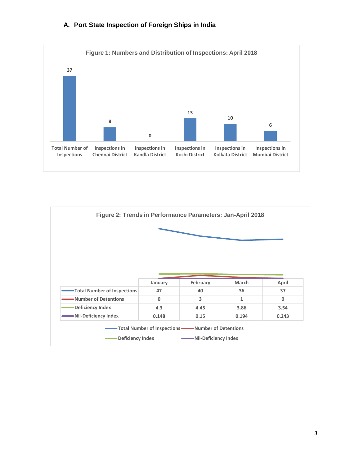## **A. Port State Inspection of Foreign Ships in India**



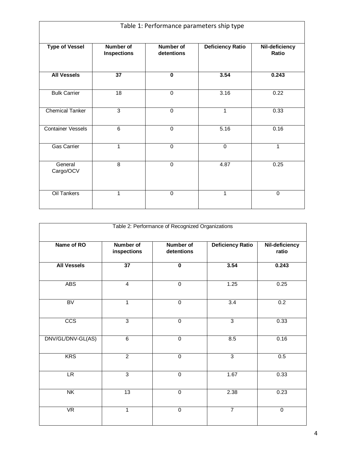| Table 1: Performance parameters ship type |                                 |                         |                         |                         |  |  |  |
|-------------------------------------------|---------------------------------|-------------------------|-------------------------|-------------------------|--|--|--|
| <b>Type of Vessel</b>                     | Number of<br><b>Inspections</b> | Number of<br>detentions | <b>Deficiency Ratio</b> | Nil-deficiency<br>Ratio |  |  |  |
| <b>All Vessels</b>                        | 37                              | $\mathbf 0$             | 3.54                    | 0.243                   |  |  |  |
| <b>Bulk Carrier</b>                       | 18                              | $\Omega$                | 3.16                    | 0.22                    |  |  |  |
| <b>Chemical Tanker</b>                    | 3                               | $\mathbf 0$             | $\mathbf{1}$            | 0.33                    |  |  |  |
| <b>Container Vessels</b>                  | 6                               | $\Omega$                | 5.16                    | 0.16                    |  |  |  |
| Gas Carrier                               | 1                               | $\Omega$                | $\Omega$                | $\mathbf{1}$            |  |  |  |
| General<br>Cargo/OCV                      | $\overline{8}$                  | $\mathbf 0$             | 4.87                    | 0.25                    |  |  |  |
| <b>Oil Tankers</b>                        | 1                               | $\Omega$                | 1                       | $\Omega$                |  |  |  |

| Table 2: Performance of Recognized Organizations |                                 |                                |                         |                         |  |  |  |
|--------------------------------------------------|---------------------------------|--------------------------------|-------------------------|-------------------------|--|--|--|
| Name of RO                                       | <b>Number of</b><br>inspections | <b>Number of</b><br>detentions | <b>Deficiency Ratio</b> | Nil-deficiency<br>ratio |  |  |  |
| <b>All Vessels</b>                               | 37                              | $\overline{\mathbf{0}}$        | 3.54                    | 0.243                   |  |  |  |
| <b>ABS</b>                                       | $\overline{4}$                  | $\mathbf 0$                    | 1.25                    | 0.25                    |  |  |  |
| <b>BV</b>                                        | $\mathbf{1}$                    | $\mathbf 0$                    | 3.4                     | 0.2                     |  |  |  |
| CCS                                              | $\overline{3}$                  | $\overline{0}$                 | $\overline{3}$          | 0.33                    |  |  |  |
| DNV/GL/DNV-GL(AS)                                | 6                               | $\mathbf 0$                    | 8.5                     | 0.16                    |  |  |  |
| <b>KRS</b>                                       | $\overline{2}$                  | $\overline{0}$                 | $\overline{3}$          | 0.5                     |  |  |  |
| LR                                               | $\overline{3}$                  | $\overline{0}$                 | 1.67                    | 0.33                    |  |  |  |
| N <sub>K</sub>                                   | 13                              | $\mathbf 0$                    | 2.38                    | 0.23                    |  |  |  |
| $\overline{\mathsf{VR}}$                         | $\mathbf{1}$                    | $\overline{0}$                 | $\overline{7}$          | $\overline{0}$          |  |  |  |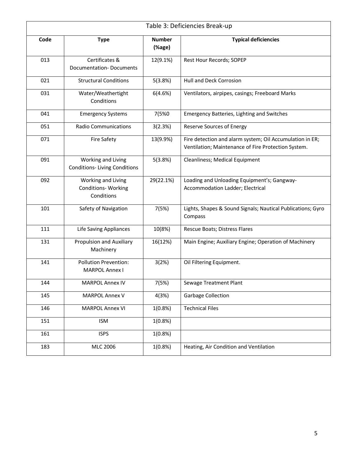|      | Table 3: Deficiencies Break-up                                 |                         |                                                                                                                 |  |  |
|------|----------------------------------------------------------------|-------------------------|-----------------------------------------------------------------------------------------------------------------|--|--|
| Code | <b>Type</b>                                                    | <b>Number</b><br>(%age) | <b>Typical deficiencies</b>                                                                                     |  |  |
| 013  | Certificates &<br><b>Documentation-Documents</b>               | 12(9.1%)                | Rest Hour Records; SOPEP                                                                                        |  |  |
| 021  | <b>Structural Conditions</b>                                   | 5(3.8%)                 | Hull and Deck Corrosion                                                                                         |  |  |
| 031  | Water/Weathertight<br>Conditions                               | 6(4.6%)                 | Ventilators, airpipes, casings; Freeboard Marks                                                                 |  |  |
| 041  | <b>Emergency Systems</b>                                       | 7(5%0                   | <b>Emergency Batteries, Lighting and Switches</b>                                                               |  |  |
| 051  | <b>Radio Communications</b>                                    | 3(2.3%)                 | <b>Reserve Sources of Energy</b>                                                                                |  |  |
| 071  | <b>Fire Safety</b>                                             | 13(9.9%)                | Fire detection and alarm system; Oil Accumulation in ER;<br>Ventilation; Maintenance of Fire Protection System. |  |  |
| 091  | Working and Living<br><b>Conditions-Living Conditions</b>      | 5(3.8%)                 | Cleanliness; Medical Equipment                                                                                  |  |  |
| 092  | Working and Living<br><b>Conditions- Working</b><br>Conditions | 29(22.1%)               | Loading and Unloading Equipment's; Gangway-<br>Accommodation Ladder; Electrical                                 |  |  |
| 101  | Safety of Navigation                                           | 7(5%)                   | Lights, Shapes & Sound Signals; Nautical Publications; Gyro<br>Compass                                          |  |  |
| 111  | <b>Life Saving Appliances</b>                                  | 10(8%)                  | Rescue Boats; Distress Flares                                                                                   |  |  |
| 131  | Propulsion and Auxiliary<br>Machinery                          | 16(12%)                 | Main Engine; Auxiliary Engine; Operation of Machinery                                                           |  |  |
| 141  | <b>Pollution Prevention:</b><br><b>MARPOL Annex I</b>          | 3(2%)                   | Oil Filtering Equipment.                                                                                        |  |  |
| 144  | <b>MARPOL Annex IV</b>                                         | 7(5%)                   | Sewage Treatment Plant                                                                                          |  |  |
| 145  | <b>MARPOL Annex V</b>                                          | 4(3%)                   | <b>Garbage Collection</b>                                                                                       |  |  |
| 146  | <b>MARPOL Annex VI</b>                                         | 1(0.8%)                 | <b>Technical Files</b>                                                                                          |  |  |
| 151  | <b>ISM</b>                                                     | 1(0.8%)                 |                                                                                                                 |  |  |
| 161  | <b>ISPS</b>                                                    | 1(0.8%)                 |                                                                                                                 |  |  |
| 183  | MLC 2006                                                       | $1(0.8\%)$              | Heating, Air Condition and Ventilation                                                                          |  |  |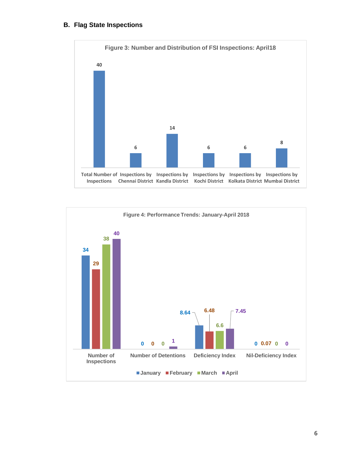## **B. Flag State Inspections**



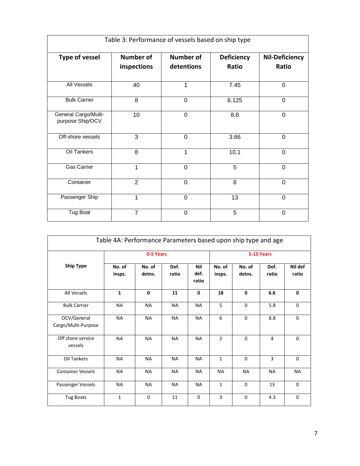| Table 3: Performance of vessels based on ship type |                                 |                                |                            |                                |  |  |  |
|----------------------------------------------------|---------------------------------|--------------------------------|----------------------------|--------------------------------|--|--|--|
| <b>Type of vessel</b>                              | <b>Number of</b><br>inspections | <b>Number of</b><br>detentions | <b>Deficiency</b><br>Ratio | <b>Nil-Deficiency</b><br>Ratio |  |  |  |
| All Vessels                                        | 40                              | 1                              | 7.45                       | 0                              |  |  |  |
| <b>Bulk Carrier</b>                                | $\overline{8}$                  | $\overline{0}$                 | 6.125                      | $\overline{0}$                 |  |  |  |
| General Cargo/Multi-<br>purpose Ship/OCV           | 10                              | 0                              | 8.8                        | 0                              |  |  |  |
| Off-shore vessels                                  | 3                               | 0                              | 3.66                       | $\overline{0}$                 |  |  |  |
| Oil Tankers                                        | 8                               | 1                              | 10.1                       | 0                              |  |  |  |
| <b>Gas Carrier</b>                                 | 1                               | 0                              | 5                          | $\overline{0}$                 |  |  |  |
| Container                                          | $\overline{2}$                  | 0                              | 8                          | $\Omega$                       |  |  |  |
| Passenger Ship                                     | 1                               | $\Omega$                       | 13                         | $\Omega$                       |  |  |  |
| Tug Boat                                           | $\overline{7}$                  | 0                              | 5                          | 0                              |  |  |  |

| Table 4A: Performance Parameters based upon ship type and age |                  |                  |               |                      |                  |                  |               |                  |
|---------------------------------------------------------------|------------------|------------------|---------------|----------------------|------------------|------------------|---------------|------------------|
|                                                               |                  | 0-5 Years        |               |                      |                  |                  | 5-15 Years    |                  |
| <b>Ship Type</b>                                              | No. of<br>insps. | No. of<br>detns. | Def.<br>ratio | Nil<br>def.<br>ratio | No. of<br>insps. | No. of<br>detns. | Def.<br>ratio | Nil def<br>ratio |
| All Vessels                                                   | $\mathbf{1}$     | $\mathbf 0$      | 11            | $\mathbf 0$          | 18               | $\mathbf{0}$     | 6.6           | 0                |
| <b>Bulk Carrier</b>                                           | <b>NA</b>        | <b>NA</b>        | <b>NA</b>     | <b>NA</b>            | 5                | $\Omega$         | 5.8           | $\Omega$         |
| OCV/General<br>Cargo/Multi-Purpose                            | <b>NA</b>        | <b>NA</b>        | <b>NA</b>     | <b>NA</b>            | 6                | $\Omega$         | 8.8           | $\Omega$         |
| Off shore service<br>vessels                                  | <b>NA</b>        | <b>NA</b>        | <b>NA</b>     | <b>NA</b>            | $\overline{2}$   | $\Omega$         | 4             | $\Omega$         |
| Oil Tankers                                                   | <b>NA</b>        | <b>NA</b>        | <b>NA</b>     | <b>NA</b>            | $\mathbf{1}$     | $\mathbf 0$      | 3             | 0                |
| <b>Container Vessels</b>                                      | <b>NA</b>        | <b>NA</b>        | <b>NA</b>     | <b>NA</b>            | <b>NA</b>        | <b>NA</b>        | <b>NA</b>     | <b>NA</b>        |
| Passenger Vessels                                             | <b>NA</b>        | <b>NA</b>        | <b>NA</b>     | <b>NA</b>            | $\mathbf{1}$     | $\Omega$         | 13            | $\Omega$         |
| <b>Tug Boats</b>                                              | $\mathbf{1}$     | $\Omega$         | 11            | 0                    | 3                | 0                | 4.3           | $\Omega$         |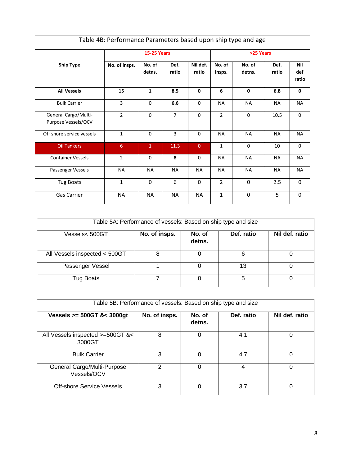| Table 4B: Performance Parameters based upon ship type and age |                |                    |                |                   |                  |                  |               |                            |
|---------------------------------------------------------------|----------------|--------------------|----------------|-------------------|------------------|------------------|---------------|----------------------------|
|                                                               |                | <b>15-25 Years</b> |                |                   |                  | >25 Years        |               |                            |
| <b>Ship Type</b>                                              | No. of insps.  | No. of<br>detns.   | Def.<br>ratio  | Nil def.<br>ratio | No. of<br>insps. | No. of<br>detns. | Def.<br>ratio | <b>Nil</b><br>def<br>ratio |
| <b>All Vessels</b>                                            | 15             | $\mathbf{1}$       | 8.5            | $\Omega$          | 6                | $\mathbf 0$      | 6.8           | $\mathbf{0}$               |
| <b>Bulk Carrier</b>                                           | 3              | $\Omega$           | 6.6            | $\Omega$          | <b>NA</b>        | <b>NA</b>        | <b>NA</b>     | <b>NA</b>                  |
| General Cargo/Multi-<br>Purpose Vessels/OCV                   | $\overline{2}$ | $\Omega$           | $\overline{7}$ | $\Omega$          | $\overline{2}$   | 0                | 10.5          | 0                          |
| Off shore service vessels                                     | $\mathbf{1}$   | $\mathbf 0$        | 3              | $\mathbf 0$       | <b>NA</b>        | <b>NA</b>        | <b>NA</b>     | <b>NA</b>                  |
| <b>Oil Tankers</b>                                            | 6              | $\mathbf{1}$       | 11.3           | $\overline{0}$    | $\mathbf{1}$     | $\Omega$         | 10            | $\mathbf 0$                |
| <b>Container Vessels</b>                                      | $\overline{2}$ | $\Omega$           | 8              | $\Omega$          | <b>NA</b>        | <b>NA</b>        | <b>NA</b>     | <b>NA</b>                  |
| Passenger Vessels                                             | <b>NA</b>      | <b>NA</b>          | <b>NA</b>      | <b>NA</b>         | <b>NA</b>        | <b>NA</b>        | <b>NA</b>     | <b>NA</b>                  |
| Tug Boats                                                     | $\mathbf{1}$   | $\Omega$           | 6              | $\Omega$          | $\overline{2}$   | $\Omega$         | 2.5           | $\mathbf{0}$               |
| Gas Carrier                                                   | <b>NA</b>      | <b>NA</b>          | <b>NA</b>      | <b>NA</b>         | $\mathbf{1}$     | $\Omega$         | 5             | $\mathbf{0}$               |

| Table 5A: Performance of vessels: Based on ship type and size |               |                  |            |                |  |  |  |
|---------------------------------------------------------------|---------------|------------------|------------|----------------|--|--|--|
| Vessels< 500GT                                                | No. of insps. | No. of<br>detns. | Def. ratio | Nil def. ratio |  |  |  |
| All Vessels inspected < 500GT                                 |               |                  | 6          |                |  |  |  |
| Passenger Vessel                                              |               |                  | 13         |                |  |  |  |
| Tug Boats                                                     |               |                  | 5          |                |  |  |  |

| Table 5B: Performance of vessels: Based on ship type and size |               |                  |            |                |  |  |
|---------------------------------------------------------------|---------------|------------------|------------|----------------|--|--|
| Vessels $>= 500$ GT &< 3000gt                                 | No. of insps. | No. of<br>detns. | Def. ratio | Nil def. ratio |  |  |
| All Vessels inspected >=500GT &<<br>3000GT                    | 8             | 0                | 4.1        | 0              |  |  |
| <b>Bulk Carrier</b>                                           | 3             | $\Omega$         | 4.7        | 0              |  |  |
| General Cargo/Multi-Purpose<br>Vessels/OCV                    | 2             | 0                | 4          | 0              |  |  |
| Off-shore Service Vessels                                     | З             | 0                | 3.7        | 0              |  |  |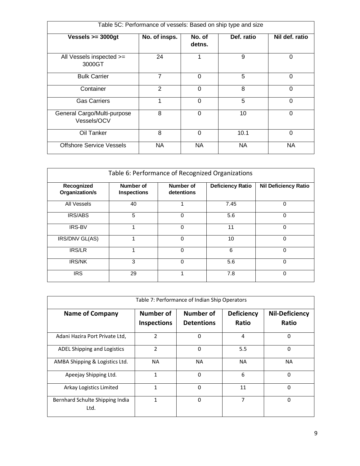| Table 5C: Performance of vessels: Based on ship type and size |               |                  |            |                |  |  |  |
|---------------------------------------------------------------|---------------|------------------|------------|----------------|--|--|--|
| Vessels $>=$ 3000gt                                           | No. of insps. | No. of<br>detns. | Def. ratio | Nil def. ratio |  |  |  |
| All Vessels inspected >=<br>3000GT                            | 24            | 1                | 9          | 0              |  |  |  |
| <b>Bulk Carrier</b>                                           | 7             | $\Omega$         | 5          | $\mathbf 0$    |  |  |  |
| Container                                                     | 2             | $\Omega$         | 8          | $\Omega$       |  |  |  |
| <b>Gas Carriers</b>                                           | 1             | $\Omega$         | 5          | $\Omega$       |  |  |  |
| General Cargo/Multi-purpose<br>Vessels/OCV                    | 8             | 0                | 10         | $\Omega$       |  |  |  |
| Oil Tanker                                                    | 8             | $\Omega$         | 10.1       | $\mathbf 0$    |  |  |  |
| <b>Offshore Service Vessels</b>                               | NA            | NA.              | ΝA         | NA             |  |  |  |

| Table 6: Performance of Recognized Organizations |                    |            |                         |                             |  |  |  |  |  |
|--------------------------------------------------|--------------------|------------|-------------------------|-----------------------------|--|--|--|--|--|
|                                                  |                    |            |                         |                             |  |  |  |  |  |
| Recognized                                       | Number of          | Number of  | <b>Deficiency Ratio</b> | <b>Nil Deficiency Ratio</b> |  |  |  |  |  |
| Organization/s                                   | <b>Inspections</b> | detentions |                         |                             |  |  |  |  |  |
|                                                  |                    |            |                         |                             |  |  |  |  |  |
| All Vessels                                      | 40                 |            | 7.45                    | 0                           |  |  |  |  |  |
|                                                  |                    |            |                         |                             |  |  |  |  |  |
| <b>IRS/ABS</b>                                   | 5                  | $\Omega$   | 5.6                     | 0                           |  |  |  |  |  |
|                                                  |                    |            |                         |                             |  |  |  |  |  |
| <b>IRS-BV</b>                                    |                    | $\Omega$   | 11                      | 0                           |  |  |  |  |  |
|                                                  |                    |            |                         |                             |  |  |  |  |  |
| IRS/DNV GL(AS)                                   |                    | $\Omega$   | 10                      | $\Omega$                    |  |  |  |  |  |
|                                                  |                    |            |                         |                             |  |  |  |  |  |
| IRS/LR                                           |                    | $\Omega$   | 6                       | $\Omega$                    |  |  |  |  |  |
|                                                  |                    |            |                         |                             |  |  |  |  |  |
| <b>IRS/NK</b>                                    | 3                  | $\Omega$   | 5.6                     | 0                           |  |  |  |  |  |
|                                                  |                    |            |                         |                             |  |  |  |  |  |
| <b>IRS</b>                                       | 29                 |            | 7.8                     | 0                           |  |  |  |  |  |
|                                                  |                    |            |                         |                             |  |  |  |  |  |

| Table 7: Performance of Indian Ship Operators |                                        |                                |                            |                                |  |  |  |
|-----------------------------------------------|----------------------------------------|--------------------------------|----------------------------|--------------------------------|--|--|--|
| <b>Name of Company</b>                        | <b>Number of</b><br><b>Inspections</b> | Number of<br><b>Detentions</b> | <b>Deficiency</b><br>Ratio | <b>Nil-Deficiency</b><br>Ratio |  |  |  |
| Adani Hazira Port Private Ltd,                | $\overline{2}$                         | 0                              | 4                          | 0                              |  |  |  |
| ADEL Shipping and Logistics                   | $\overline{2}$                         | 0                              | 5.5                        | 0                              |  |  |  |
| AMBA Shipping & Logistics Ltd.                | <b>NA</b>                              | <b>NA</b>                      | <b>NA</b>                  | <b>NA</b>                      |  |  |  |
| Apeejay Shipping Ltd.                         | $\mathbf{1}$                           | 0                              | 6                          | 0                              |  |  |  |
| Arkay Logistics Limited                       | 1                                      | $\Omega$                       | 11                         | 0                              |  |  |  |
| Bernhard Schulte Shipping India<br>Ltd.       | 1                                      | 0                              | 7                          | 0                              |  |  |  |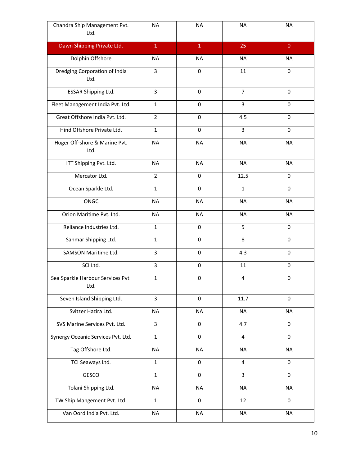| Chandra Ship Management Pvt.<br>Ltd.      | <b>NA</b>               | <b>NA</b>    | <b>NA</b>      | <b>NA</b>    |
|-------------------------------------------|-------------------------|--------------|----------------|--------------|
| Dawn Shipping Private Ltd.                | $1\,$                   | $\mathbf{1}$ | 25             | $\mathbf{0}$ |
| Dolphin Offshore                          | <b>NA</b>               | <b>NA</b>    | <b>NA</b>      | <b>NA</b>    |
| Dredging Corporation of India<br>Ltd.     | 3                       | $\mathbf 0$  | 11             | $\mathbf 0$  |
| ESSAR Shipping Ltd.                       | 3                       | 0            | $\overline{7}$ | 0            |
| Fleet Management India Pvt. Ltd.          | $\mathbf{1}$            | $\mathbf 0$  | 3              | 0            |
| Great Offshore India Pvt. Ltd.            | $\overline{2}$          | $\mathbf 0$  | 4.5            | $\Omega$     |
| Hind Offshore Private Ltd.                | $\mathbf{1}$            | $\mathbf 0$  | 3              | 0            |
| Hoger Off-shore & Marine Pvt.<br>Ltd.     | <b>NA</b>               | <b>NA</b>    | <b>NA</b>      | <b>NA</b>    |
| ITT Shipping Pvt. Ltd.                    | <b>NA</b>               | <b>NA</b>    | <b>NA</b>      | <b>NA</b>    |
| Mercator Ltd.                             | $\overline{2}$          | $\mathbf 0$  | 12.5           | 0            |
| Ocean Sparkle Ltd.                        | $\mathbf{1}$            | $\mathbf 0$  | $\mathbf{1}$   | 0            |
| ONGC                                      | <b>NA</b>               | <b>NA</b>    | <b>NA</b>      | <b>NA</b>    |
| Orion Maritime Pvt. Ltd.                  | <b>NA</b>               | <b>NA</b>    | <b>NA</b>      | <b>NA</b>    |
| Reliance Industries Ltd.                  | $\mathbf{1}$            | $\mathbf 0$  | 5              | 0            |
| Sanmar Shipping Ltd.                      | $\mathbf{1}$            | $\mathbf 0$  | 8              | 0            |
| <b>SAMSON Maritime Ltd.</b>               | $\overline{3}$          | 0            | 4.3            | 0            |
| SCI Ltd.                                  | $\overline{\mathbf{3}}$ | $\pmb{0}$    | 11             | 0            |
| Sea Sparkle Harbour Services Pvt.<br>Ltd. | $\mathbf{1}$            | $\pmb{0}$    | $\overline{4}$ | 0            |
| Seven Island Shipping Ltd.                | $\overline{3}$          | $\pmb{0}$    | 11.7           | 0            |
| Svitzer Hazira Ltd.                       | <b>NA</b>               | <b>NA</b>    | <b>NA</b>      | <b>NA</b>    |
| SVS Marine Services Pvt. Ltd.             | $\mathsf{3}$            | $\pmb{0}$    | 4.7            | 0            |
| Synergy Oceanic Services Pvt. Ltd.        | $\mathbf{1}$            | $\mathbf 0$  | $\overline{4}$ | $\Omega$     |
| Tag Offshore Ltd.                         | <b>NA</b>               | <b>NA</b>    | <b>NA</b>      | <b>NA</b>    |
| TCI Seaways Ltd.                          | $\mathbf{1}$            | $\mathbf 0$  | $\overline{4}$ | 0            |
| GESCO                                     | $\mathbf{1}$            | $\mathbf 0$  | $\overline{3}$ | 0            |
| Tolani Shipping Ltd.                      | <b>NA</b>               | <b>NA</b>    | <b>NA</b>      | <b>NA</b>    |
| TW Ship Mangement Pvt. Ltd.               | $\mathbf{1}$            | $\pmb{0}$    | 12             | 0            |
| Van Oord India Pvt. Ltd.                  | <b>NA</b>               | <b>NA</b>    | <b>NA</b>      | <b>NA</b>    |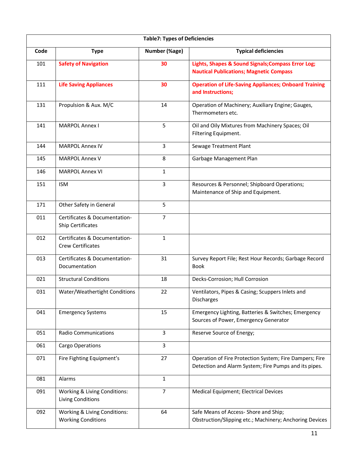| <b>Table7: Types of Deficiencies</b> |                                                           |                |                                                                                                                  |  |
|--------------------------------------|-----------------------------------------------------------|----------------|------------------------------------------------------------------------------------------------------------------|--|
| Code                                 | <b>Type</b>                                               | Number (%age)  | <b>Typical deficiencies</b>                                                                                      |  |
| 101                                  | <b>Safety of Navigation</b>                               | 30             | Lights, Shapes & Sound Signals; Compass Error Log;<br><b>Nautical Publications; Magnetic Compass</b>             |  |
| 111                                  | <b>Life Saving Appliances</b>                             | 30             | <b>Operation of Life-Saving Appliances; Onboard Training</b><br>and Instructions;                                |  |
| 131                                  | Propulsion & Aux. M/C                                     | 14             | Operation of Machinery; Auxiliary Engine; Gauges,<br>Thermometers etc.                                           |  |
| 141                                  | <b>MARPOL Annex I</b>                                     | 5              | Oil and Oily Mixtures from Machinery Spaces; Oil<br>Filtering Equipment.                                         |  |
| 144                                  | <b>MARPOL Annex IV</b>                                    | 3              | Sewage Treatment Plant                                                                                           |  |
| 145                                  | <b>MARPOL Annex V</b>                                     | 8              | Garbage Management Plan                                                                                          |  |
| 146                                  | <b>MARPOL Annex VI</b>                                    | 1              |                                                                                                                  |  |
| 151                                  | <b>ISM</b>                                                | 3              | Resources & Personnel; Shipboard Operations;<br>Maintenance of Ship and Equipment.                               |  |
| 171                                  | Other Safety in General                                   | 5              |                                                                                                                  |  |
| 011                                  | Certificates & Documentation-<br>Ship Certificates        | $\overline{7}$ |                                                                                                                  |  |
| 012                                  | Certificates & Documentation-<br>Crew Certificates        | $\mathbf{1}$   |                                                                                                                  |  |
| 013                                  | Certificates & Documentation-<br>Documentation            | 31             | Survey Report File; Rest Hour Records; Garbage Record<br><b>Book</b>                                             |  |
| 021                                  | <b>Structural Conditions</b>                              | 18             | Decks-Corrosion; Hull Corrosion                                                                                  |  |
| 031                                  | Water/Weathertight Conditions                             | 22             | Ventilators, Pipes & Casing; Scuppers Inlets and<br>Discharges                                                   |  |
| 041                                  | <b>Emergency Systems</b>                                  | 15             | Emergency Lighting, Batteries & Switches; Emergency<br>Sources of Power, Emergency Generator                     |  |
| 051                                  | Radio Communications                                      | 3              | Reserve Source of Energy;                                                                                        |  |
| 061                                  | Cargo Operations                                          | 3              |                                                                                                                  |  |
| 071                                  | Fire Fighting Equipment's                                 | 27             | Operation of Fire Protection System; Fire Dampers; Fire<br>Detection and Alarm System; Fire Pumps and its pipes. |  |
| 081                                  | Alarms                                                    | 1              |                                                                                                                  |  |
| 091                                  | Working & Living Conditions:<br>Living Conditions         | $\overline{7}$ | Medical Equipment; Electrical Devices                                                                            |  |
| 092                                  | Working & Living Conditions:<br><b>Working Conditions</b> | 64             | Safe Means of Access- Shore and Ship;<br>Obstruction/Slipping etc.; Machinery; Anchoring Devices                 |  |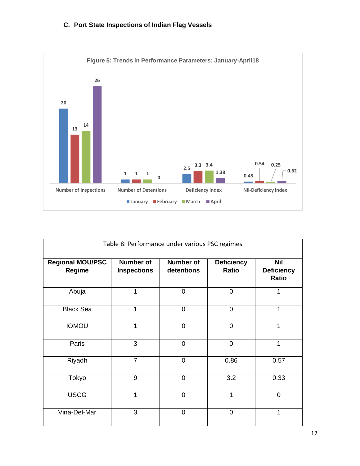# **C. Port State Inspections of Indian Flag Vessels**



| Table 8: Performance under various PSC regimes |                                        |                                |                                   |                                          |
|------------------------------------------------|----------------------------------------|--------------------------------|-----------------------------------|------------------------------------------|
| <b>Regional MOU/PSC</b><br>Regime              | <b>Number of</b><br><b>Inspections</b> | <b>Number of</b><br>detentions | <b>Deficiency</b><br><b>Ratio</b> | <b>Nil</b><br><b>Deficiency</b><br>Ratio |
| Abuja                                          | 1                                      | $\overline{0}$                 | $\overline{0}$                    | 1                                        |
| <b>Black Sea</b>                               | 1                                      | $\overline{0}$                 | $\overline{0}$                    | 1                                        |
| <b>IOMOU</b>                                   | 1                                      | $\overline{0}$                 | $\overline{0}$                    | 1                                        |
| Paris                                          | 3                                      | $\overline{0}$                 | 0                                 | 1                                        |
| Riyadh                                         | $\overline{7}$                         | $\overline{0}$                 | 0.86                              | 0.57                                     |
| Tokyo                                          | 9                                      | $\overline{0}$                 | 3.2                               | 0.33                                     |
| <b>USCG</b>                                    | 1                                      | $\overline{0}$                 | 1                                 | $\overline{0}$                           |
| Vina-Del-Mar                                   | 3                                      | $\overline{0}$                 | 0                                 | 1                                        |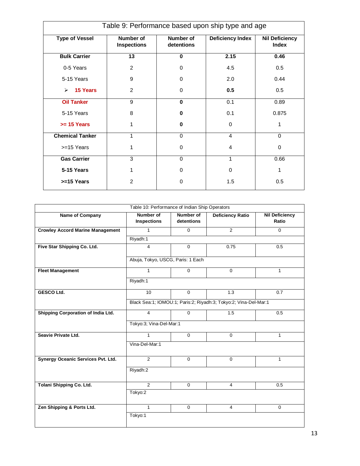| Table 9: Performance based upon ship type and age |                                        |                         |                         |                                       |
|---------------------------------------------------|----------------------------------------|-------------------------|-------------------------|---------------------------------------|
| <b>Type of Vessel</b>                             | <b>Number of</b><br><b>Inspections</b> | Number of<br>detentions | <b>Deficiency Index</b> | <b>Nil Deficiency</b><br><b>Index</b> |
| <b>Bulk Carrier</b>                               | $\overline{13}$                        | $\bf{0}$                | 2.15                    | 0.46                                  |
| 0-5 Years                                         | 2                                      | $\Omega$                | 4.5                     | 0.5                                   |
| 5-15 Years                                        | 9                                      | $\Omega$                | 2.0                     | 0.44                                  |
| <b>15 Years</b><br>⋗                              | 2                                      | $\Omega$                | 0.5                     | 0.5                                   |
| <b>Oil Tanker</b>                                 | 9                                      | $\mathbf{0}$            | 0.1                     | 0.89                                  |
| 5-15 Years                                        | 8                                      | 0                       | 0.1                     | 0.875                                 |
| $>= 15$ Years                                     | 1                                      | $\bf{0}$                | 0                       | 1                                     |
| <b>Chemical Tanker</b>                            | 1                                      | $\Omega$                | 4                       | $\Omega$                              |
| >=15 Years                                        | 1                                      | $\Omega$                | 4                       | 0                                     |
| <b>Gas Carrier</b>                                | 3                                      | $\Omega$                | 1                       | 0.66                                  |
| 5-15 Years                                        | 1                                      | $\Omega$                | $\Omega$                | 1                                     |
| >=15 Years                                        | 2                                      | $\Omega$                | 1.5                     | 0.5                                   |

| Table 10: Performance of Indian Ship Operators |                                                                  |                         |                         |                                |  |
|------------------------------------------------|------------------------------------------------------------------|-------------------------|-------------------------|--------------------------------|--|
| <b>Name of Company</b>                         | Number of<br><b>Inspections</b>                                  | Number of<br>detentions | <b>Deficiency Ratio</b> | <b>Nil Deficiency</b><br>Ratio |  |
| <b>Crowley Accord Marine Management</b>        | $\mathbf{1}$                                                     | $\Omega$                | $\overline{2}$          | $\Omega$                       |  |
|                                                | Riyadh:1                                                         |                         |                         |                                |  |
| Five Star Shipping Co. Ltd.                    | $\overline{4}$                                                   | $\mathbf 0$             | 0.75                    | 0.5                            |  |
|                                                | Abuja, Tokyo, USCG, Paris: 1 Each                                |                         |                         |                                |  |
| <b>Fleet Management</b>                        | $\mathbf{1}$                                                     | $\mathbf 0$             | $\mathbf 0$             | $\mathbf{1}$                   |  |
|                                                | Riyadh:1                                                         |                         |                         |                                |  |
| <b>GESCO Ltd.</b>                              | 10                                                               | $\mathbf 0$             | 1.3                     | 0.7                            |  |
|                                                | Black Sea:1; IOMOU:1; Paris:2; Riyadh:3; Tokyo:2; Vina-Del-Mar:1 |                         |                         |                                |  |
| Shipping Corporation of India Ltd.             | $\overline{4}$                                                   | $\Omega$                | 1.5                     | 0.5                            |  |
|                                                | Tokyo:3; Vina-Del-Mar:1                                          |                         |                         |                                |  |
| Seavie Private Ltd.                            | $\mathbf{1}$                                                     | $\mathbf 0$             | $\mathbf 0$             | $\mathbf{1}$                   |  |
|                                                | Vina-Del-Mar:1                                                   |                         |                         |                                |  |
| Synergy Oceanic Services Pvt. Ltd.             | 2                                                                | $\mathbf 0$             | $\mathbf 0$             | $\mathbf{1}$                   |  |
|                                                | Riyadh:2                                                         |                         |                         |                                |  |
| Tolani Shipping Co. Ltd.                       | 2                                                                | $\mathbf 0$             | 4                       | 0.5                            |  |
|                                                | Tokyo:2                                                          |                         |                         |                                |  |
| Zen Shipping & Ports Ltd.                      | $\mathbf{1}$                                                     | $\mathbf 0$             | $\overline{4}$          | $\mathbf 0$                    |  |
|                                                | Tokyo:1                                                          |                         |                         |                                |  |